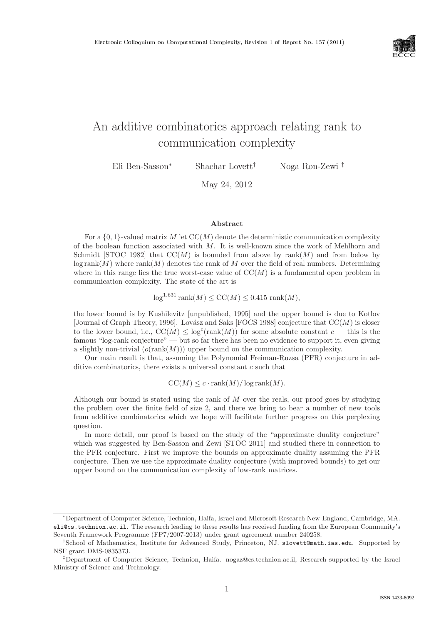

# An additive combinatorics approach relating rank to communication complexity

Eli Ben-Sasson<sup>∗</sup> Shachar Lovett† Noga Ron-Zewi ‡

May 24, 2012

#### Abstract

For a  $\{0,1\}$ -valued matrix M let  $CC(M)$  denote the deterministic communication complexity of the boolean function associated with M. It is well-known since the work of Mehlhorn and Schmidt [STOC 1982] that  $CC(M)$  is bounded from above by rank $(M)$  and from below by  $\log \text{rank}(M)$  where  $\text{rank}(M)$  denotes the rank of M over the field of real numbers. Determining where in this range lies the true worst-case value of  $CC(M)$  is a fundamental open problem in communication complexity. The state of the art is

 $log^{1.631} rank(M) \leq CC(M) \leq 0.415 rank(M),$ 

the lower bound is by Kushilevitz [unpublished, 1995] and the upper bound is due to Kotlov [Journal of Graph Theory, 1996]. Lovász and Saks [FOCS 1988] conjecture that  $CC(M)$  is closer to the lower bound, i.e.,  $CC(M) \leq log^{c}(rank(M))$  for some absolute constant  $c$  — this is the famous "log-rank conjecture" — but so far there has been no evidence to support it, even giving a slightly non-trivial  $(o(\text{rank}(M)))$  upper bound on the communication complexity.

Our main result is that, assuming the Polynomial Freiman-Ruzsa (PFR) conjecture in additive combinatorics, there exists a universal constant  $c$  such that

 $CC(M) \leq c \cdot \text{rank}(M) / \log \text{rank}(M)$ .

Although our bound is stated using the rank of M over the reals, our proof goes by studying the problem over the finite field of size 2, and there we bring to bear a number of new tools from additive combinatorics which we hope will facilitate further progress on this perplexing question.

In more detail, our proof is based on the study of the "approximate duality conjecture" which was suggested by Ben-Sasson and Zewi [STOC 2011] and studied there in connection to the PFR conjecture. First we improve the bounds on approximate duality assuming the PFR conjecture. Then we use the approximate duality conjecture (with improved bounds) to get our upper bound on the communication complexity of low-rank matrices.

<sup>∗</sup>Department of Computer Science, Technion, Haifa, Israel and Microsoft Research New-England, Cambridge, MA. eli@cs.technion.ac.il. The research leading to these results has received funding from the European Community's Seventh Framework Programme (FP7/2007-2013) under grant agreement number 240258.

<sup>†</sup>School of Mathematics, Institute for Advanced Study, Princeton, NJ. slovett@math.ias.edu. Supported by NSF grant DMS-0835373.

<sup>‡</sup>Department of Computer Science, Technion, Haifa. nogaz@cs.technion.ac.il, Research supported by the Israel Ministry of Science and Technology.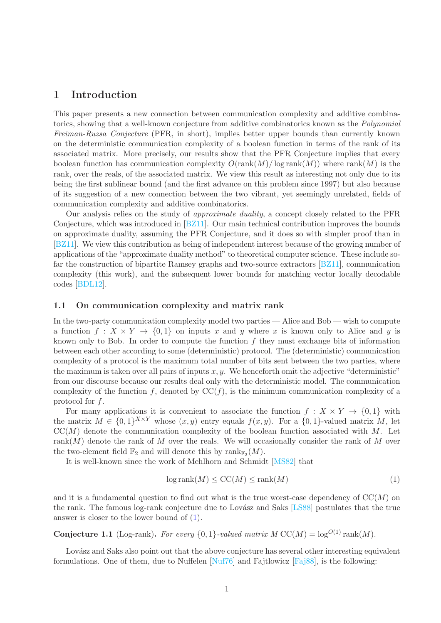### 1 Introduction

This paper presents a new connection between communication complexity and additive combinatorics, showing that a well-known conjecture from additive combinatorics known as the *Polynomial Freiman-Ruzsa Conjecture* (PFR, in short), implies better upper bounds than currently known on the deterministic communication complexity of a boolean function in terms of the rank of its associated matrix. More precisely, our results show that the PFR Conjecture implies that every boolean function has communication complexity  $O(\text{rank}(M)/\log \text{rank}(M))$  where  $\text{rank}(M)$  is the rank, over the reals, of the associated matrix. We view this result as interesting not only due to its being the first sublinear bound (and the first advance on this problem since 1997) but also because of its suggestion of a new connection between the two vibrant, yet seemingly unrelated, fields of communication complexity and additive combinatorics.

Our analysis relies on the study of *approximate duality*, a concept closely related to the PFR Conjecture, which was introduced in [\[BZ11\]](#page-15-0). Our main technical contribution improves the bounds on approximate duality, assuming the PFR Conjecture, and it does so with simpler proof than in [\[BZ11\]](#page-15-0). We view this contribution as being of independent interest because of the growing number of applications of the "approximate duality method" to theoretical computer science. These include sofar the construction of bipartite Ramsey graphs and two-source extractors [\[BZ11\]](#page-15-0), communication complexity (this work), and the subsequent lower bounds for matching vector locally decodable codes [\[BDL12\]](#page-15-1).

#### 1.1 On communication complexity and matrix rank

In the two-party communication complexity model two parties — Alice and Bob — wish to compute a function  $f: X \times Y \to \{0,1\}$  on inputs x and y where x is known only to Alice and y is known only to Bob. In order to compute the function  $f$  they must exchange bits of information between each other according to some (deterministic) protocol. The (deterministic) communication complexity of a protocol is the maximum total number of bits sent between the two parties, where the maximum is taken over all pairs of inputs  $x, y$ . We henceforth omit the adjective "deterministic" from our discourse because our results deal only with the deterministic model. The communication complexity of the function f, denoted by  $\mathrm{CC}(f)$ , is the minimum communication complexity of a protocol for f.

For many applications it is convenient to associate the function  $f: X \times Y \to \{0,1\}$  with the matrix  $M \in \{0,1\}^{X \times Y}$  whose  $(x, y)$  entry equals  $f(x, y)$ . For a  $\{0,1\}$ -valued matrix M, let  $CC(M)$  denote the communication complexity of the boolean function associated with M. Let rank $(M)$  denote the rank of M over the reals. We will occasionally consider the rank of M over the two-element field  $\mathbb{F}_2$  and will denote this by  $\text{rank}_{\mathbb{F}_2}(M)$ .

It is well-known since the work of Mehlhorn and Schmidt [\[MS82\]](#page-16-0) that

<span id="page-1-0"></span>
$$
\log \text{rank}(M) \leq \text{CC}(M) \leq \text{rank}(M) \tag{1}
$$

and it is a fundamental question to find out what is the true worst-case dependency of  $\mathrm{CC}(M)$  on the rank. The famous log-rank conjecture due to Lovász and Saks [\[LS88\]](#page-16-1) postulates that the true answer is closer to the lower bound of [\(1\)](#page-1-0).

**Conjecture 1.1** (Log-rank). For every  $\{0, 1\}$ -valued matrix  $M \text{CC}(M) = \log^{O(1)} \text{rank}(M)$ .

Lovász and Saks also point out that the above conjecture has several other interesting equivalent formulations. One of them, due to Nuffelen [\[Nuf76\]](#page-16-2) and Fajtlowicz [\[Faj88\]](#page-16-3), is the following: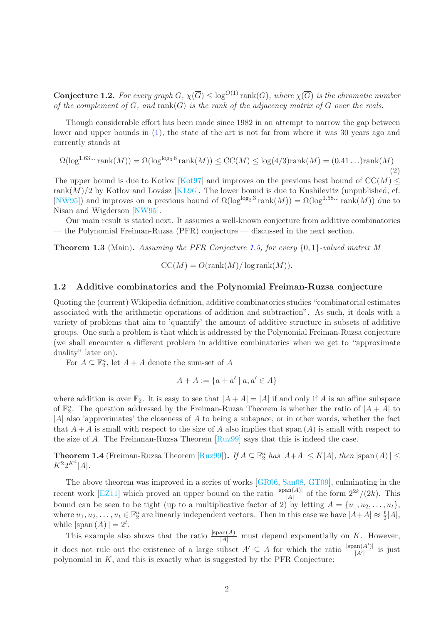**Conjecture 1.2.** For every graph  $G$ ,  $\chi(\overline{G}) \leq \log^{O(1)} \text{rank}(G)$ , where  $\chi(\overline{G})$  is the chromatic number *of the complement of* G*, and* rank(G) *is the rank of the adjacency matrix of* G *over the reals.*

Though considerable effort has been made since 1982 in an attempt to narrow the gap between lower and upper bounds in [\(1\)](#page-1-0), the state of the art is not far from where it was 30 years ago and currently stands at

<span id="page-2-1"></span>
$$
\Omega(\log^{1.63...} \text{rank}(M)) = \Omega(\log^{\log_3 6} \text{rank}(M)) \le \text{CC}(M) \le \log(4/3) \text{rank}(M) = (0.41...) \text{rank}(M)
$$
\n(2)

The upper bound is due to Kotlov [\[Kot97\]](#page-16-4) and improves on the previous best bound of  $\text{CC}(M)$  < rank $(M)/2$  by Kotlov and Lovász [\[KL96\]](#page-16-5). The lower bound is due to Kushilevitz (unpublished, cf. [\[NW95\]](#page-16-6)) and improves on a previous bound of  $\Omega(\log^{\log_2 3} \text{rank}(M)) = \Omega(\log^{1.58...} \text{rank}(M))$  due to Nisan and Wigderson [\[NW95\]](#page-16-6).

Our main result is stated next. It assumes a well-known conjecture from additive combinatorics — the Polynomial Freiman-Ruzsa (PFR) conjecture — discussed in the next section.

<span id="page-2-0"></span>Theorem 1.3 (Main). *Assuming the PFR Conjecture [1.5,](#page-3-0) for every* {0, 1}*-valued matrix M*

$$
CC(M) = O(\text{rank}(M)/\log \text{rank}(M)).
$$

#### 1.2 Additive combinatorics and the Polynomial Freiman-Ruzsa conjecture

Quoting the (current) Wikipedia definition, additive combinatorics studies "combinatorial estimates associated with the arithmetic operations of addition and subtraction". As such, it deals with a variety of problems that aim to 'quantify' the amount of additive structure in subsets of additive groups. One such a problem is that which is addressed by the Polynomial Freiman-Ruzsa conjecture (we shall encounter a different problem in additive combinatorics when we get to "approximate duality" later on).

For  $A \subseteq \mathbb{F}_2^n$ , let  $A + A$  denote the sum-set of A

$$
A + A := \{a + a' \mid a, a' \in A\}
$$

where addition is over  $\mathbb{F}_2$ . It is easy to see that  $|A + A| = |A|$  if and only if A is an affine subspace of  $\mathbb{F}_2^n$ . The question addressed by the Freiman-Ruzsa Theorem is whether the ratio of  $|A + A|$  to  $|A|$  also 'approximates' the closeness of A to being a subspace, or in other words, whether the fact that  $A + A$  is small with respect to the size of A also implies that span  $(A)$  is small with respect to the size of A. The Freimnan-Ruzsa Theorem  $\lceil \text{Ru299} \rceil$  says that this is indeed the case.

**Theorem 1.4** (Freiman-Ruzsa Theorem  $[\text{Ruz99}]$ ). *If*  $A \subseteq \mathbb{F}_2^n$  has  $|A+A| \leq K|A|$ , then  $|\text{span}(A)| \leq$  $K^2 2^{K^4} |A|$ .

The above theorem was improved in a series of works [\[GR06,](#page-16-8) [San08,](#page--1-0) [GT09\]](#page-16-9), culminating in the recent work [\[EZ11\]](#page-16-10) which proved an upper bound on the ratio  $\frac{|\text{span}(A)|}{|A|}$  of the form  $2^{2k}/(2k)$ . This bound can be seen to be tight (up to a multiplicative factor of 2) by letting  $A = \{u_1, u_2, \ldots, u_t\}$ , where  $u_1, u_2, \ldots, u_t \in \mathbb{F}_2^n$  are linearly independent vectors. Then in this case we have  $|A+A| \approx \frac{t}{2}|A|$ , while  $|\text{span}(A)| = 2^t$ .

This example also shows that the ratio  $\frac{|\text{span}(A)|}{|A|}$  must depend exponentially on K. However, it does not rule out the existence of a large subset  $A' \subseteq A$  for which the ratio  $\frac{|span(A')|}{|A'|}$  $\frac{|\mathcal{A}||}{|A'|}$  is just polynomial in  $K$ , and this is exactly what is suggested by the PFR Conjecture: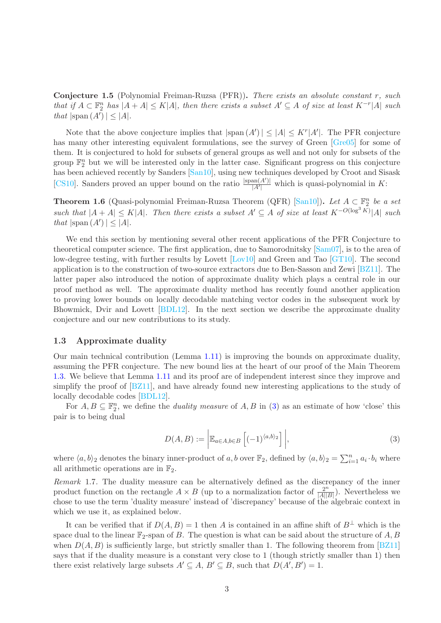<span id="page-3-0"></span>Conjecture 1.5 (Polynomial Freiman-Ruzsa (PFR)). *There exists an absolute constant* r*, such that if*  $A \subset \mathbb{F}_2^n$  *has*  $|A + A| \le K|A|$ *, then there exists a subset*  $A' \subseteq A$  *of size at least*  $K^{-r}|A|$  *such that*  $|\text{span}(A')| \leq |A|$ *.* 

Note that the above conjecture implies that  $|\text{span}(A')| \leq |A| \leq K^r |A'|$ . The PFR conjecture has many other interesting equivalent formulations, see the survey of Green [\[Gre05\]](#page-16-11) for some of them. It is conjectured to hold for subsets of general groups as well and not only for subsets of the group  $\mathbb{F}_2^n$  but we will be interested only in the latter case. Significant progress on this conjecture has been achieved recently by Sanders [\[San10\]](#page--1-1), using new techniques developed by Croot and Sisask [\[CS10\]](#page-16-12). Sanders proved an upper bound on the ratio  $\frac{|\text{span}(A')|}{|A'|}$  $\frac{\text{Im}(A)}{|A'|}$  which is quasi-polynomial in K:

<span id="page-3-2"></span>**Theorem 1.6** (Quasi-polynomial Freiman-Ruzsa Theorem (QFR) [\[San10\]](#page--1-1)). Let  $A \subseteq \mathbb{F}_2^n$  be a set  $such that$   $|A + A|$  ≤ K|A|*. Then there exists a subset*  $A' ⊆ A$  *of size at least*  $K^{-O(\log^3 K)}|A|$  *such that*  $|\text{span}(A')| \leq |A|$ *.* 

We end this section by mentioning several other recent applications of the PFR Conjecture to theoretical computer science. The first application, due to Samorodnitsky [\[Sam07\]](#page-16-13), is to the area of low-degree testing, with further results by Lovett [\[Lov10\]](#page-16-14) and Green and Tao [\[GT10\]](#page-16-15). The second application is to the construction of two-source extractors due to Ben-Sasson and Zewi [\[BZ11\]](#page-15-0). The latter paper also introduced the notion of approximate duality which plays a central role in our proof method as well. The approximate duality method has recently found another application to proving lower bounds on locally decodable matching vector codes in the subsequent work by Bhowmick, Dvir and Lovett [\[BDL12\]](#page-15-1). In the next section we describe the approximate duality conjecture and our new contributions to its study.

#### <span id="page-3-3"></span>1.3 Approximate duality

Our main technical contribution (Lemma [1.11\)](#page-4-0) is improving the bounds on approximate duality, assuming the PFR conjecture. The new bound lies at the heart of our proof of the Main Theorem [1.3.](#page-2-0) We believe that Lemma [1.11](#page-4-0) and its proof are of independent interest since they improve and simplify the proof of [\[BZ11\]](#page-15-0), and have already found new interesting applications to the study of locally decodable codes [\[BDL12\]](#page-15-1).

For  $A, B \subseteq \mathbb{F}_2^n$ , we define the *duality measure* of  $A, B$  in [\(3\)](#page-3-1) as an estimate of how 'close' this pair is to being dual

<span id="page-3-1"></span>
$$
D(A, B) := \left| \mathbb{E}_{a \in A, b \in B} \left[ (-1)^{\langle a, b \rangle_2} \right] \right|,
$$
\n(3)

where  $\langle a, b \rangle_2$  denotes the binary inner-product of a, b over  $\mathbb{F}_2$ , defined by  $\langle a, b \rangle_2 = \sum_{i=1}^n a_i \cdot b_i$  where all arithmetic operations are in  $\mathbb{F}_2$ .

*Remark* 1.7*.* The duality measure can be alternatively defined as the discrepancy of the inner product function on the rectangle  $A \times B$  (up to a normalization factor of  $\frac{2^n}{|A||}$  $\frac{2^n}{|A||B|}$ ). Nevertheless we chose to use the term 'duality measure' instead of 'discrepancy' because of the algebraic context in which we use it, as explained below.

It can be verified that if  $D(A, B) = 1$  then A is contained in an affine shift of  $B^{\perp}$  which is the space dual to the linear  $\mathbb{F}_2$ -span of B. The question is what can be said about the structure of A, B when  $D(A, B)$  is sufficiently large, but strictly smaller than 1. The following theorem from [\[BZ11\]](#page-15-0) says that if the duality measure is a constant very close to 1 (though strictly smaller than 1) then there exist relatively large subsets  $A' \subseteq A$ ,  $B' \subseteq B$ , such that  $D(A', B') = 1$ .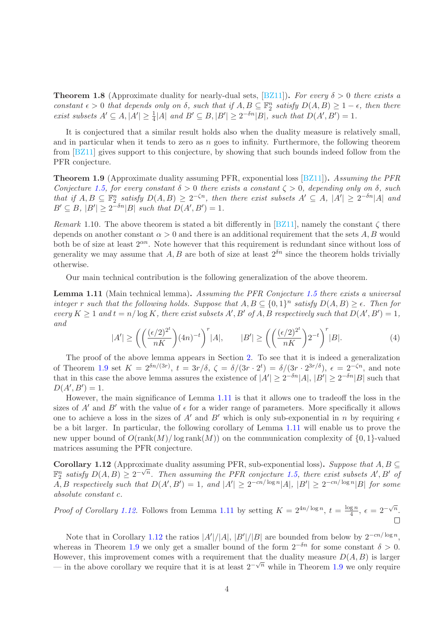**Theorem 1.8** (Approximate duality for nearly-dual sets,  $\boxed{BZ11}$ ). For every  $\delta > 0$  there exists a *constant*  $\epsilon > 0$  *that depends only on*  $\delta$ *, such that if*  $A, B \subseteq \mathbb{F}_2^n$  *satisfy*  $D(A, B) \ge 1 - \epsilon$ *, then there exist subsets*  $A' \subseteq A$ ,  $|A'| \geq \frac{1}{4}|A|$  *and*  $B' \subseteq B$ ,  $|B'| \geq 2^{-\delta n} |B|$ *, such that*  $D(A', B') = 1$ *.* 

It is conjectured that a similar result holds also when the duality measure is relatively small, and in particular when it tends to zero as  $n$  goes to infinity. Furthermore, the following theorem from [\[BZ11\]](#page-15-0) gives support to this conjecture, by showing that such bounds indeed follow from the PFR conjecture.

<span id="page-4-1"></span>Theorem 1.9 (Approximate duality assuming PFR, exponential loss [\[BZ11\]](#page-15-0)). *Assuming the PFR Conjecture* [1.5,](#page-3-0) for every constant  $\delta > 0$  there exists a constant  $\zeta > 0$ , depending only on  $\delta$ , such *that if*  $A, B \subseteq \mathbb{F}_2^n$  *satisfy*  $D(A, B) \geq 2^{-\zeta n}$ *, then there exist subsets*  $A' \subseteq A$ *,*  $|A'| \geq 2^{-\delta n} |A|$  *and*  $B' \subseteq B$ ,  $|B'| \ge 2^{-\delta n} |B|$  *such that*  $D(A', B') = 1$ *.* 

*Remark* 1.10. The above theorem is stated a bit differently in [\[BZ11\]](#page-15-0), namely the constant  $\zeta$  there depends on another constant  $\alpha > 0$  and there is an additional requirement that the sets A, B would both be of size at least  $2^{\alpha n}$ . Note however that this requirement is redundant since without loss of generality we may assume that A, B are both of size at least  $2^{\delta n}$  since the theorem holds trivially otherwise.

Our main technical contribution is the following generalization of the above theorem.

<span id="page-4-0"></span>Lemma 1.11 (Main technical lemma). *Assuming the PFR Conjecture [1.5](#page-3-0) there exists a universal integer* r such that the following holds. Suppose that  $A, B \subseteq \{0,1\}^n$  satisfy  $D(A, B) \geq \epsilon$ . Then for  $\text{every } K \geq 1 \text{ and } t = n/\log K$ , there exist subsets  $A', B'$  of  $A, B$  respectively such that  $D(A', B') = 1$ , *and*

<span id="page-4-3"></span>
$$
|A'| \ge \left( \left( \frac{(\epsilon/2)^{2^t}}{nK} \right) (4n)^{-t} \right)^r |A|, \qquad |B'| \ge \left( \left( \frac{(\epsilon/2)^{2^t}}{nK} \right) 2^{-t} \right)^r |B|.
$$
 (4)

The proof of the above lemma appears in Section [2.](#page-7-0) To see that it is indeed a generalization of Theorem [1.9](#page-4-1) set  $K = 2^{\delta n/(3r)}$ ,  $t = 3r/\delta$ ,  $\zeta = \delta/(3r \cdot 2^t) = \delta/(3r \cdot 2^{3r/\delta})$ ,  $\epsilon = 2^{-\zeta n}$ , and note that in this case the above lemma assures the existence of  $|A'| \geq 2^{-\delta n} |A|$ ,  $|B'| \geq 2^{-\delta n} |B|$  such that  $D(A', B') = 1.$ 

However, the main significance of Lemma [1.11](#page-4-0) is that it allows one to tradeoff the loss in the sizes of A' and B' with the value of  $\epsilon$  for a wider range of parameters. More specifically it allows one to achieve a loss in the sizes of A' and B' which is only sub-exponential in n by requiring  $\epsilon$ be a bit larger. In particular, the following corollary of Lemma [1.11](#page-4-0) will enable us to prove the new upper bound of  $O(\text{rank}(M)/\log \text{rank}(M))$  on the communication complexity of  $\{0, 1\}$ -valued matrices assuming the PFR conjecture.

<span id="page-4-2"></span>**Corollary 1.12** (Approximate duality assuming PFR, sub-exponential loss). Suppose that  $A, B \subseteq$  $\mathbb{F}_2^n$  satisfy  $D(A, B) \geq 2^{-\sqrt{n}}$ . Then assuming the PFR conjecture [1.5,](#page-3-0) there exist subsets A', B' of  $A, B$  respectively such that  $D(A', B') = 1$ , and  $|A'| \geq 2^{-cn/\log n} |A|$ ,  $|B'| \geq 2^{-cn/\log n} |B|$  for some *absolute constant* c*.*

*Proof of Corollary [1.12.](#page-4-2)* Follows from Lemma [1.11](#page-4-0) by setting  $K = 2^{4n/\log n}$ ,  $t = \frac{\log n}{4}$  $\frac{\mathrm{g}\,n}{4},\,\epsilon=2^{-\sqrt{n}}.$ 

 $\Box$ 

Note that in Corollary [1.12](#page-4-2) the ratios  $|A'|/|A|, |B'|/|B|$  are bounded from below by  $2^{-cn/\log n}$ , whereas in Theorem [1.9](#page-4-1) we only get a smaller bound of the form  $2^{-\delta n}$  for some constant  $\delta > 0$ . However, this improvement comes with a requirement that the duality measure  $D(A, B)$  is larger — in the above corollary we require that it is at least  $2^{-\sqrt{n}}$  while in Theorem [1.9](#page-4-1) we only require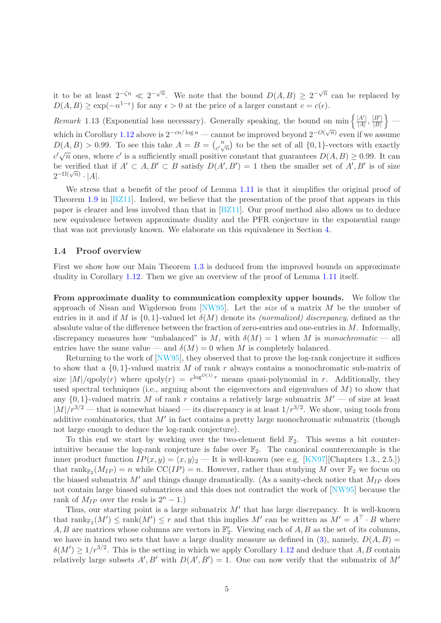it to be at least  $2^{-\zeta n} \ll 2^{-\sqrt{n}}$ . We note that the bound  $D(A, B) \geq 2^{-\sqrt{n}}$  can be replaced by  $D(A, B) \ge \exp(-n^{1-\epsilon})$  for any  $\epsilon > 0$  at the price of a larger constant  $c = c(\epsilon)$ .

<span id="page-5-0"></span>*Remark* 1.13 (Exponential loss necessary). Generally speaking, the bound on min  $\left\{\frac{|A'|}{|A|}, \frac{|B'|}{|B|}\right\}$  $\}$  — which in Corollary [1.12](#page-4-2) above is  $2^{-cn/\log n}$  — cannot be improved beyond  $2^{-O(\sqrt{n})}$  even if we assume  $D(A, B) > 0.99$ . To see this take  $A = B = \binom{n}{a}$  $\binom{n}{c'\sqrt{n}}$  to be the set of all  $\{0,1\}$ -vectors with exactly  $c'\sqrt{n}$  ones, where c' is a sufficiently small positive constant that guarantees  $D(A, B) \ge 0.99$ . It can be verified that if  $A' \subset A, B' \subset B$  satisfy  $D(A', B') = 1$  then the smaller set of  $A', B'$  is of size  $2^{-\Omega(\sqrt{n})}\cdot |A|.$ 

We stress that a benefit of the proof of Lemma [1.11](#page-4-0) is that it simplifies the original proof of Theorem [1.9](#page-4-1) in [\[BZ11\]](#page-15-0). Indeed, we believe that the presentation of the proof that appears in this paper is clearer and less involved than that in [\[BZ11\]](#page-15-0). Our proof method also allows us to deduce new equivalence between approximate duality and the PFR conjecture in the exponential range that was not previously known. We elaborate on this equivalence in Section [4.](#page-13-0)

#### 1.4 Proof overview

First we show how our Main Theorem [1.3](#page-2-0) is deduced from the improved bounds on approximate duality in Corollary [1.12.](#page-4-2) Then we give an overview of the proof of Lemma [1.11](#page-4-0) itself.

From approximate duality to communication complexity upper bounds. We follow the approach of Nisan and Wigderson from [\[NW95\]](#page-16-6). Let the *size* of a matrix M be the number of entries in it and if M is  $\{0,1\}$ -valued let  $\delta(M)$  denote its *(normalized) discrepancy*, defined as the absolute value of the difference between the fraction of zero-entries and one-entries in  $M$ . Informally, discrepancy measures how "unbalanced" is M, with  $\delta(M) = 1$  when M is *monochromatic* — all entries have the same value — and  $\delta(M) = 0$  when M is completely balanced.

Returning to the work of [\[NW95\]](#page-16-6), they observed that to prove the log-rank conjecture it suffices to show that a  $\{0,1\}$ -valued matrix M of rank r always contains a monochromatic sub-matrix of size  $|M|/\text{qpoly}(r)$  where  $\text{qpoly}(r) = r^{\log^{O(1)} r}$  means quasi-polynomial in r. Additionally, they used spectral techniques (i.e., arguing about the eigenvectors and eigenvalues of  $M$ ) to show that any  $\{0,1\}$ -valued matrix M of rank r contains a relatively large submatrix  $M'$  — of size at least  $|M|/r^{3/2}$  — that is somewhat biased — its discrepancy is at least  $1/r^{3/2}$ . We show, using tools from additive combinatorics, that  $M'$  in fact contains a pretty large monochromatic submatrix (though not large enough to deduce the log-rank conjecture).

To this end we start by working over the two-element field  $\mathbb{F}_2$ . This seems a bit counterintuitive because the log-rank conjecture is false over  $\mathbb{F}_2$ . The canonical counterexample is the inner product function  $IP(x, y) = \langle x, y \rangle_2$  — It is well-known (see e.g. [\[KN97\]](#page-16-16)[Chapters 1.3., 2.5.]) that  $\text{rank}_{\mathbb{F}_2}(M_{IP}) = n$  while  $\text{CC}(IP) = n$ . However, rather than studying M over  $\mathbb{F}_2$  we focus on the biased submatrix  $M'$  and things change dramatically. (As a sanity-check notice that  $M_{IP}$  does not contain large biased submatrices and this does not contradict the work of [\[NW95\]](#page-16-6) because the rank of  $M_{IP}$  over the reals is  $2^{n} - 1$ .)

Thus, our starting point is a large submatrix  $M'$  that has large discrepancy. It is well-known that  $\text{rank}_{\mathbb{F}_2}(M') \le \text{rank}(M') \le r$  and that this implies  $M'$  can be written as  $M' = A \cdot B$  where  $A, B$  are matrices whose columns are vectors in  $\mathbb{F}_2^r$ . Viewing each of  $A, B$  as the set of its columns, we have in hand two sets that have a large duality measure as defined in [\(3\)](#page-3-1), namely,  $D(A, B)$  =  $\delta(M') \geq 1/r^{3/2}$ . This is the setting in which we apply Corollary [1.12](#page-4-2) and deduce that A, B contain relatively large subsets  $A', B'$  with  $D(A', B') = 1$ . One can now verify that the submatrix of M'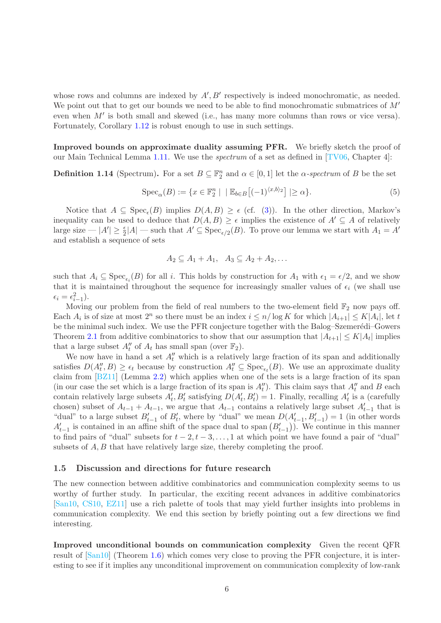whose rows and columns are indexed by  $A', B'$  respectively is indeed monochromatic, as needed. We point out that to get our bounds we need to be able to find monochromatic submatrices of  $M'$ even when M' is both small and skewed (i.e., has many more columns than rows or vice versa). Fortunately, Corollary [1.12](#page-4-2) is robust enough to use in such settings.

Improved bounds on approximate duality assuming PFR. We briefly sketch the proof of our Main Technical Lemma [1.11.](#page-4-0) We use the *spectrum* of a set as defined in [\[TV06,](#page--1-2) Chapter 4]:

**Definition 1.14** (Spectrum). For a set  $B \subseteq \mathbb{F}_2^n$  and  $\alpha \in [0,1]$  let the  $\alpha$ -spectrum of B be the set

<span id="page-6-0"></span>
$$
\operatorname{Spec}_{\alpha}(B) := \{ x \in \mathbb{F}_2^n \mid \, \mid \mathbb{E}_{b \in B} \left[ (-1)^{\langle x, b \rangle_2} \right] \mid \geq \alpha \}. \tag{5}
$$

Notice that  $A \subseteq \text{Spec}_{\epsilon}(B)$  implies  $D(A, B) \ge \epsilon$  (cf. [\(3\)](#page-3-1)). In the other direction, Markov's inequality can be used to deduce that  $D(A, B) \geq \epsilon$  implies the existence of  $A' \subseteq A$  of relatively large size  $-|A'|\geq \frac{\epsilon}{2}|A|$  — such that  $A'\subseteq \text{Spec}_{\epsilon/2}(B)$ . To prove our lemma we start with  $A_1=A'$ and establish a sequence of sets

$$
A_2 \subseteq A_1 + A_1, \quad A_3 \subseteq A_2 + A_2, \ldots
$$

such that  $A_i \subseteq \text{Spec}_{\epsilon_i}(B)$  for all i. This holds by construction for  $A_1$  with  $\epsilon_1 = \epsilon/2$ , and we show that it is maintained throughout the sequence for increasingly smaller values of  $\epsilon_i$  (we shall use  $\epsilon_i = \epsilon_{i-1}^2$ ).

Moving our problem from the field of real numbers to the two-element field  $\mathbb{F}_2$  now pays off. Each  $A_i$  is of size at most  $2^n$  so there must be an index  $i \leq n/\log K$  for which  $|A_{i+1}| \leq K|A_i|$ , let t be the minimal such index. We use the PFR conjecture together with the Balog–Szemerédi–Gowers Theorem [2.1](#page-7-1) from additive combinatorics to show that our assumption that  $|A_{t+1}| \leq K |A_t|$  implies that a large subset  $A''_t$  of  $A_t$  has small span (over  $\mathbb{F}_2$ ).

We now have in hand a set  $A''_t$  which is a relatively large fraction of its span and additionally satisfies  $D(A''_t, B) \ge \epsilon_t$  because by construction  $A''_t \subseteq \text{Spec}_{\epsilon_t}(B)$ . We use an approximate duality claim from [\[BZ11\]](#page-15-0) (Lemma [2.2\)](#page-8-0) which applies when one of the sets is a large fraction of its span (in our case the set which is a large fraction of its span is  $A''_t$ ). This claim says that  $A''_t$  and B each contain relatively large subsets  $A'_t$ ,  $B'_t$  satisfying  $D(A'_t, B'_t) = 1$ . Finally, recalling  $A'_t$  is a (carefully chosen) subset of  $A_{t-1} + A_{t-1}$ , we argue that  $A_{t-1}$  contains a relatively large subset  $A'_{t-1}$  that is "dual" to a large subset  $B'_{t-1}$  of  $B'_{t}$ , where by "dual" we mean  $D(A'_{t-1}, B'_{t-1}) = 1$  (in other words  $A'_{t-1}$  is contained in an affine shift of the space dual to span  $(B'_{t-1})$ ). We continue in this manner to find pairs of "dual" subsets for  $t - 2$ ,  $t - 3$ , ..., 1 at which point we have found a pair of "dual" subsets of  $A, B$  that have relatively large size, thereby completing the proof.

#### 1.5 Discussion and directions for future research

The new connection between additive combinatorics and communication complexity seems to us worthy of further study. In particular, the exciting recent advances in additive combinatorics [\[San10,](#page--1-1) [CS10,](#page-16-12) [EZ11\]](#page-16-10) use a rich palette of tools that may yield further insights into problems in communication complexity. We end this section by briefly pointing out a few directions we find interesting.

Improved unconditional bounds on communication complexity Given the recent QFR result of [\[San10\]](#page--1-1) (Theorem [1.6\)](#page-3-2) which comes very close to proving the PFR conjecture, it is interesting to see if it implies any unconditional improvement on communication complexity of low-rank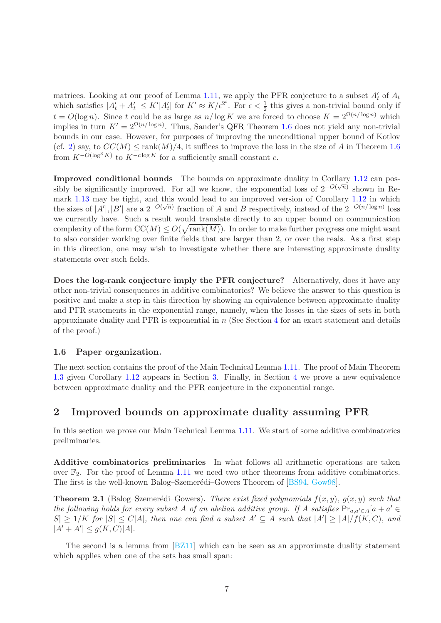matrices. Looking at our proof of Lemma [1.11,](#page-4-0) we apply the PFR conjecture to a subset  $A'_t$  of  $A_t$ which satisfies  $|A_t + A_t| \leq K' |A_t|$  for  $K' \approx K / \epsilon^{2^t}$ . For  $\epsilon < \frac{1}{2}$  this gives a non-trivial bound only if  $t = O(\log n)$ . Since t could be as large as  $n/\log K$  we are forced to choose  $K = 2^{\Omega(n/\log n)}$  which implies in turn  $K' = 2^{\Omega(n/\log n)}$ . Thus, Sander's QFR Theorem [1.6](#page-3-2) does not yield any non-trivial bounds in our case. However, for purposes of improving the unconditional upper bound of Kotlov (cf. [2\)](#page-2-1) say, to  $CC(M) \leq \text{rank}(M)/4$ , it suffices to improve the loss in the size of A in Theorem [1.6](#page-3-2) from  $K^{-O(\log^3 K)}$  to  $K^{-c \log K}$  for a sufficiently small constant c.

Improved conditional bounds The bounds on approximate duality in Corllary [1.12](#page-4-2) can possibly be significantly improved. For all we know, the exponential loss of  $2^{-O(\sqrt{n})}$  shown in Re-mark [1.13](#page-5-0) may be tight, and this would lead to an improved version of Corollary [1.12](#page-4-2) in which the sizes of  $|A'|, |B'|$  are a  $2^{-O(\sqrt{n})}$  fraction of A and B respectively, instead of the  $2^{-O(n/\log n)}$  loss we currently have. Such a result would translate directly to an upper bound on communication complexity of the form  $\mathrm{CC}(M) \leq O(\sqrt{\mathrm{rank}(M)})$ . In order to make further progress one might want to also consider working over finite fields that are larger than 2, or over the reals. As a first step in this direction, one may wish to investigate whether there are interesting approximate duality statements over such fields.

Does the log-rank conjecture imply the PFR conjecture? Alternatively, does it have any other non-trivial consequences in additive combinatorics? We believe the answer to this question is positive and make a step in this direction by showing an equivalence between approximate duality and PFR statements in the exponential range, namely, when the losses in the sizes of sets in both approximate duality and PFR is exponential in  $n$  (See Section [4](#page-13-0) for an exact statement and details of the proof.)

### 1.6 Paper organization.

The next section contains the proof of the Main Technical Lemma [1.11.](#page-4-0) The proof of Main Theorem [1.3](#page-2-0) given Corollary [1.12](#page-4-2) appears in Section [3.](#page-11-0) Finally, in Section [4](#page-13-0) we prove a new equivalence between approximate duality and the PFR conjecture in the exponential range.

### <span id="page-7-0"></span>2 Improved bounds on approximate duality assuming PFR

In this section we prove our Main Technical Lemma [1.11.](#page-4-0) We start of some additive combinatorics preliminaries.

Additive combinatorics preliminaries In what follows all arithmetic operations are taken over  $\mathbb{F}_2$ . For the proof of Lemma [1.11](#page-4-0) we need two other theorems from additive combinatorics. The first is the well-known Balog–Szemerédi–Gowers Theorem of [\[BS94,](#page-15-2) [Gow98\]](#page-16-17).

<span id="page-7-1"></span>**Theorem 2.1** (Balog–Szemerédi–Gowers). *There exist fixed polynomials*  $f(x, y)$ *,*  $g(x, y)$  *such that the following holds for every subset* A *of an abelian additive group.* If A *satisfies*  $Pr_{a,a'\in A}[a+a'\in A]$  $|S| \geq 1/K$  *for*  $|S| \leq C|A|$ *, then one can find a subset*  $A' \subseteq A$  *such that*  $|A'| \geq |A|/f(K, C)$ *, and*  $|A' + A'| \le g(K, C)|A|.$ 

The second is a lemma from [\[BZ11\]](#page-15-0) which can be seen as an approximate duality statement which applies when one of the sets has small span: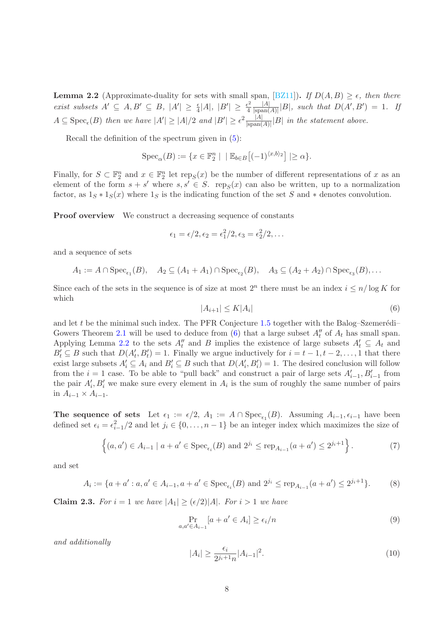<span id="page-8-0"></span>**Lemma 2.2** (Approximate-duality for sets with small span, [\[BZ11\]](#page-15-0)). *If*  $D(A, B) \ge \epsilon$ *, then there exist subsets*  $A' \subseteq A, B' \subseteq B, |A'| \geq \frac{\epsilon}{4}|A|, |B'| \geq \frac{\epsilon^2}{4}$  $\frac{\varepsilon^2}{4} \frac{|A|}{|\text{span}(A)}$  $\frac{|A|}{|\text{span}(A)|} |B|$ *, such that*  $D(A', B') = 1$ *. If*  $A \subseteq \text{Spec}_{\epsilon}(B)$  then we have  $|A'| \geq |A|/2$  and  $|B'| \geq \epsilon^2 \frac{|A|}{|\text{span}(B)|}$  $\frac{|A|}{|\text{span}(A)|} |B|$  in the statement above.

Recall the definition of the spectrum given in [\(5\)](#page-6-0):

$$
Spec_{\alpha}(B) := \{ x \in \mathbb{F}_2^n \mid \, | \, \mathbb{E}_{b \in B} \big[ (-1)^{\langle x, b \rangle_2} \big] \, | \ge \alpha \}.
$$

Finally, for  $S \subset \mathbb{F}_2^n$  and  $x \in \mathbb{F}_2^n$  let  $\text{rep}_S(x)$  be the number of different representations of x as an element of the form  $s + s'$  where  $s, s' \in S$ . rep<sub>S</sub> $(x)$  can also be written, up to a normalization factor, as  $1_S * 1_S(x)$  where  $1_S$  is the indicating function of the set S and  $*$  denotes convolution.

**Proof overview** We construct a decreasing sequence of constants

$$
\epsilon_1=\epsilon/2, \epsilon_2=\epsilon_1^2/2, \epsilon_3=\epsilon_2^2/2, \ldots
$$

and a sequence of sets

$$
A_1 := A \cap \operatorname{Spec}_{\epsilon_1}(B), \quad A_2 \subseteq (A_1 + A_1) \cap \operatorname{Spec}_{\epsilon_2}(B), \quad A_3 \subseteq (A_2 + A_2) \cap \operatorname{Spec}_{\epsilon_3}(B), \dots
$$

Since each of the sets in the sequence is of size at most  $2^n$  there must be an index  $i \leq n/\log K$  for which

<span id="page-8-1"></span>
$$
|A_{i+1}| \le K|A_i| \tag{6}
$$

and let t be the minimal such index. The PFR Conjecture [1.5](#page-3-0) together with the Balog–Szemerédi– Gowers Theorem [2.1](#page-7-1) will be used to deduce from [\(6\)](#page-8-1) that a large subset  $A''_t$  of  $A_t$  has small span. Applying Lemma [2.2](#page-8-0) to the sets  $A''_t$  and B implies the existence of large subsets  $A'_t \subseteq A_t$  and  $B'_t \subseteq B$  such that  $D(A'_t, B'_t) = 1$ . Finally we argue inductively for  $i = t - 1, t - 2, \ldots, 1$  that there exist large subsets  $A'_i \subseteq A_i$  and  $B'_i \subseteq B$  such that  $D(A'_i, B'_i) = 1$ . The desired conclusion will follow from the  $i = 1$  case. To be able to "pull back" and construct a pair of large sets  $A'_{i-1}, B'_{i-1}$  from the pair  $A'_{i}, B'_{i}$  we make sure every element in  $A_{i}$  is the sum of roughly the same number of pairs in  $A_{i-1} \times A_{i-1}$ .

The sequence of sets Let  $\epsilon_1 := \epsilon/2$ ,  $A_1 := A \cap \text{Spec}_{\epsilon_1}(B)$ . Assuming  $A_{i-1}, \epsilon_{i-1}$  have been defined set  $\epsilon_i = \epsilon_{i-1}^2/2$  and let  $j_i \in \{0, \ldots, n-1\}$  be an integer index which maximizes the size of

<span id="page-8-2"></span>
$$
\left\{(a, a') \in A_{i-1} \mid a + a' \in \text{Spec}_{\epsilon_i}(B) \text{ and } 2^{j_i} \le \text{rep}_{A_{i-1}}(a + a') \le 2^{j_i+1}\right\}.
$$
 (7)

and set

<span id="page-8-5"></span>
$$
A_i := \{ a + a' : a, a' \in A_{i-1}, a + a' \in \text{Spec}_{\epsilon_i}(B) \text{ and } 2^{j_i} \le \text{rep}_{A_{i-1}}(a + a') \le 2^{j_i+1} \}. \tag{8}
$$

**Claim 2.3.** For  $i = 1$  we have  $|A_1| \geq (\epsilon/2)|A|$ . For  $i > 1$  we have

<span id="page-8-3"></span>
$$
\Pr_{a,a' \in A_{i-1}}[a+a' \in A_i] \ge \epsilon_i/n \tag{9}
$$

*and additionally*

<span id="page-8-4"></span>
$$
|A_i| \ge \frac{\epsilon_i}{2^{j_i+1}n} |A_{i-1}|^2. \tag{10}
$$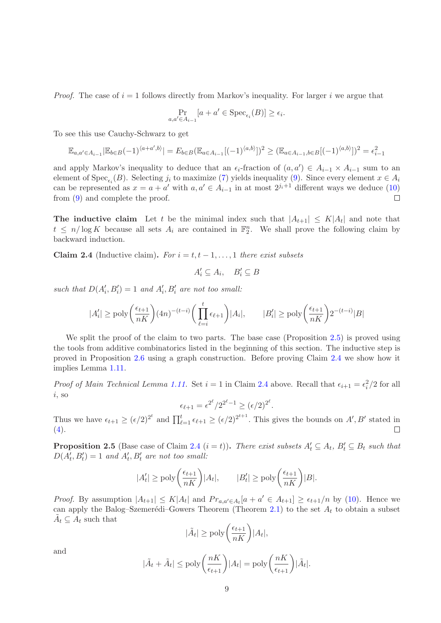*Proof.* The case of  $i = 1$  follows directly from Markov's inequality. For larger i we argue that

$$
\Pr_{a,a' \in A_{i-1}}[a + a' \in \text{Spec}_{\epsilon_i}(B)] \ge \epsilon_i.
$$

To see this use Cauchy-Schwarz to get

$$
\mathbb{E}_{a,a'\in A_{i-1}}|\mathbb{E}_{b\in B}(-1)^{\langle a+a',b\rangle}| = E_{b\in B}(\mathbb{E}_{a\in A_{i-1}}[(-1)^{\langle a,b\rangle}])^2 \geq (\mathbb{E}_{a\in A_{i-1},b\in B}[(-1)^{\langle a,b\rangle}])^2 = \epsilon_{i-1}^2
$$

and apply Markov's inequality to deduce that an  $\epsilon_i$ -fraction of  $(a, a') \in A_{i-1} \times A_{i-1}$  sum to an element of Spec<sub> $\epsilon_i(B)$ </sub>. Selecting  $j_i$  to maximize [\(7\)](#page-8-2) yields inequality [\(9\)](#page-8-3). Since every element  $x \in A_i$ can be represented as  $x = a + a'$  with  $a, a' \in A_{i-1}$  in at most  $2^{j_i+1}$  different ways we deduce [\(10\)](#page-8-4) from [\(9\)](#page-8-3) and complete the proof.

**The inductive claim** Let t be the minimal index such that  $|A_{t+1}| \leq K |A_t|$  and note that  $t \leq n/\log K$  because all sets  $A_i$  are contained in  $\mathbb{F}_2^n$ . We shall prove the following claim by backward induction.

<span id="page-9-1"></span>Claim 2.4 (Inductive claim). *For*  $i = t, t - 1, \ldots, 1$  *there exist subsets* 

$$
A'_i \subseteq A_i, \quad B'_i \subseteq B
$$

such that  $D(A'_i, B'_i) = 1$  and  $A'_i, B'_i$  are not too small:

$$
|A'_i| \ge \text{poly}\bigg(\frac{\epsilon_{t+1}}{nK}\bigg) (4n)^{-(t-i)} \bigg(\prod_{\ell=i}^t \epsilon_{\ell+1}\bigg) |A_i|, \qquad |B'_i| \ge \text{poly}\bigg(\frac{\epsilon_{t+1}}{nK}\bigg) 2^{-(t-i)} |B|
$$

We split the proof of the claim to two parts. The base case (Proposition [2.5\)](#page-9-0) is proved using the tools from additive combinatorics listed in the beginning of this section. The inductive step is proved in Proposition [2.6](#page-10-0) using a graph construction. Before proving Claim [2.4](#page-9-1) we show how it implies Lemma [1.11.](#page-4-0)

*Proof of Main Technical Lemma [1.11.](#page-4-0)* Set  $i = 1$  in Claim [2.4](#page-9-1) above. Recall that  $\epsilon_{i+1} = \epsilon_i^2/2$  for all  $i$ , so

$$
\epsilon_{\ell+1} = \epsilon^{2^{\ell}}/2^{2^{\ell}-1} \ge (\epsilon/2)^{2^{\ell}}.
$$

Thus we have  $\epsilon_{t+1} \geq (\epsilon/2)^{2^t}$  and  $\prod_{\ell=1}^t \epsilon_{\ell+1} \geq (\epsilon/2)^{2^{t+1}}$ . This gives the bounds on A', B' stated in  $(4).$  $(4).$  $\Box$ 

<span id="page-9-0"></span>**Proposition 2.5** (Base case of Claim [2.4](#page-9-1)  $(i = t)$ ). *There exist subsets*  $A'_t \subseteq A_t$ ,  $B'_t \subseteq B_t$  *such that*  $D(A'_t, B'_t) = 1$  and  $A'_t, B'_t$  are not too small:

$$
|A'_t| \ge \text{poly}\bigg(\frac{\epsilon_{t+1}}{nK}\bigg)|A_t|, \qquad |B'_t| \ge \text{poly}\bigg(\frac{\epsilon_{t+1}}{nK}\bigg)|B|.
$$

*Proof.* By assumption  $|A_{t+1}| \leq K |A_t|$  and  $Pr_{a,a' \in A_t}[a + a' \in A_{t+1}] \geq \epsilon_{t+1}/n$  by [\(10\)](#page-8-4). Hence we can apply the Balog–Szemerédi–Gowers Theorem (Theorem [2.1\)](#page-7-1) to the set  $A_t$  to obtain a subset  $\tilde{A}_t \subseteq A_t$  such that

$$
|\tilde{A}_t| \ge \text{poly}\bigg(\frac{\epsilon_{t+1}}{nK}\bigg)|A_t|,
$$

and

$$
|\tilde{A}_t + \tilde{A}_t| \le \text{poly}\left(\frac{nK}{\epsilon_{t+1}}\right)|A_t| = \text{poly}\left(\frac{nK}{\epsilon_{t+1}}\right)|\tilde{A}_t|.
$$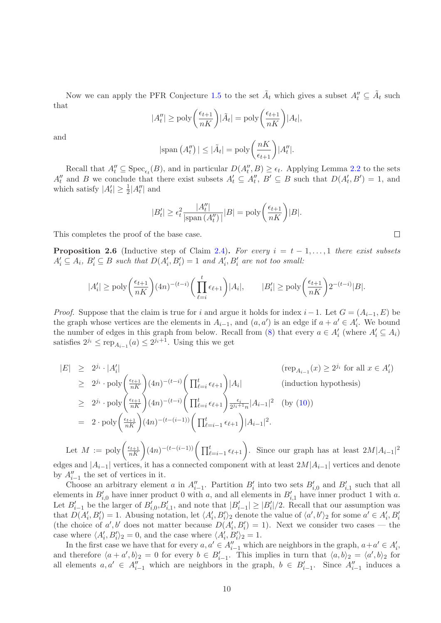Now we can apply the PFR Conjecture [1.5](#page-3-0) to the set  $\tilde{A}_t$  which gives a subset  $A''_t \subseteq \tilde{A}_t$  such that

$$
|A_t''| \ge \text{poly}\left(\frac{\epsilon_{t+1}}{nK}\right) |\tilde{A}_t| = \text{poly}\left(\frac{\epsilon_{t+1}}{nK}\right) |A_t|,
$$

and

$$
|\text{span}(A_t'')| \leq |\tilde{A}_t| = \text{poly}\left(\frac{nK}{\epsilon_{t+1}}\right)|A_t''|.
$$

Recall that  $A''_t \subseteq \text{Spec}_{\epsilon_t}(B)$ , and in particular  $D(A''_t, B) \ge \epsilon_t$ . Applying Lemma [2.2](#page-8-0) to the sets  $A''_t$  and B we conclude that there exist subsets  $A'_t \subseteq A''_t$ ,  $B' \subseteq B$  such that  $D(A'_t, B') = 1$ , and which satisfy  $|A'_t| \geq \frac{1}{2}|A''_t|$  and

$$
|B'_t| \ge \epsilon_t^2 \frac{|A''_t|}{|\text{span}(A''_t)|} |B| = \text{poly}\left(\frac{\epsilon_{t+1}}{nK}\right)|B|.
$$

This completes the proof of the base case.

<span id="page-10-0"></span>**Proposition 2.6** (Inductive step of Claim [2.4\)](#page-9-1). For every  $i = t - 1, \ldots, 1$  there exist subsets  $A'_i \subseteq A_i$ ,  $B'_i \subseteq B$  such that  $D(A'_i, B'_i) = 1$  and  $A'_i, B'_i$  are not too small:

$$
|A'_i| \ge \mathrm{poly}\bigg(\frac{\epsilon_{t+1}}{nK}\bigg) (4n)^{-(t-i)} \bigg(\prod_{\ell=i}^t \epsilon_{\ell+1}\bigg) |A_i|, \qquad |B'_i| \ge \mathrm{poly}\bigg(\frac{\epsilon_{t+1}}{nK}\bigg) 2^{-(t-i)} |B|.
$$

*Proof.* Suppose that the claim is true for i and argue it holds for index i – 1. Let  $G = (A_{i-1}, E)$  be the graph whose vertices are the elements in  $A_{i-1}$ , and  $(a, a')$  is an edge if  $a + a' \in A'_{i}$ . We bound the number of edges in this graph from below. Recall from [\(8\)](#page-8-5) that every  $a \in A'_{i}$  (where  $A'_{i} \subseteq A_{i}$ ) satisfies  $2^{j_i} \le \text{rep}_{A_{i-1}}(a) \le 2^{j_i+1}$ . Using this we get

$$
|E| \geq 2^{j_i} \cdot |A'_i| \qquad (\text{rep}_{A_{i-1}}(x) \geq 2^{j_i} \text{ for all } x \in A'_i)
$$
  
\n
$$
\geq 2^{j_i} \cdot \text{poly}\left(\frac{\epsilon_{t+1}}{nK}\right) (4n)^{-(t-i)} \left(\prod_{\ell=i}^t \epsilon_{\ell+1}\right) |A_i| \qquad (\text{induction hypothesis})
$$
  
\n
$$
\geq 2^{j_i} \cdot \text{poly}\left(\frac{\epsilon_{t+1}}{nK}\right) (4n)^{-(t-i)} \left(\prod_{\ell=i}^t \epsilon_{\ell+1}\right) \frac{\epsilon_i}{2^{j_i+1}n} |A_{i-1}|^2 \qquad (\text{by (10)})
$$
  
\n
$$
= 2 \cdot \text{poly}\left(\frac{\epsilon_{t+1}}{nK}\right) (4n)^{-(t-(i-1))} \left(\prod_{\ell=i-1}^t \epsilon_{\ell+1}\right) |A_{i-1}|^2.
$$

Let  $M := poly\left(\frac{\epsilon_{t+1}}{nK}\right)(4n)^{-(t-(i-1))}\left(\prod_{\ell=i-1}^t \epsilon_{\ell+1}\right)$ . Since our graph has at least  $2M|A_{i-1}|^2$ edges and  $|A_{i-1}|$  vertices, it has a connected component with at least  $2M|A_{i-1}|$  vertices and denote by  $A''_{i-1}$  the set of vertices in it.

Choose an arbitrary element a in  $A''_{i-1}$ . Partition  $B'_i$  into two sets  $B'_{i,0}$  and  $B'_{i,1}$  such that all elements in  $B'_{i,0}$  have inner product 0 with a, and all elements in  $B'_{i,1}$  have inner product 1 with a. Let  $B'_{i-1}$  be the larger of  $B'_{i,0}, B'_{i,1}$ , and note that  $|B'_{i-1}| \geq |B'_{i}|/2$ . Recall that our assumption was that  $D(A'_i, B'_i) = 1$ . Abusing notation, let  $\langle A'_i, B'_i \rangle_2$  denote the value of  $\langle a', b' \rangle_2$  for some  $a' \in A'_i, B'_i$ (the choice of a', b' does not matter because  $D(A'_i, B'_i) = 1$ ). Next we consider two cases — the case where  $\langle A'_i, B'_i \rangle_2 = 0$ , and the case where  $\langle A'_i, B'_i \rangle_2 = 1$ .

In the first case we have that for every  $a, a' \in A_{i-1}''$  which are neighbors in the graph,  $a+a' \in A_i',$ and therefore  $\langle a + a', b \rangle_2 = 0$  for every  $b \in B'_{i-1}$ . This implies in turn that  $\langle a, b \rangle_2 = \langle a', b \rangle_2$  for all elements  $a, a' \in A''_{i-1}$  which are neighbors in the graph,  $b \in B'_{i-1}$ . Since  $A''_{i-1}$  induces a

 $\Box$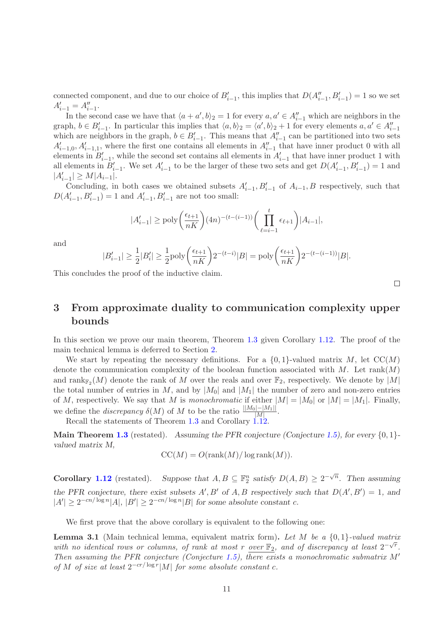connected component, and due to our choice of  $B'_{i-1}$ , this implies that  $D(A''_{i-1}, B'_{i-1}) = 1$  so we set  $A'_{i-1} = A''_{i-1}.$ 

In the second case we have that  $\langle a + a', b \rangle_2 = 1$  for every  $a, a' \in A''_{i-1}$  which are neighbors in the graph,  $b \in B'_{i-1}$ . In particular this implies that  $\langle a, b \rangle_2 = \langle a', b \rangle_2 + 1$  for every elements  $a, a' \in A''_{i-1}$ which are neighbors in the graph,  $b \in B'_{i-1}$ . This means that  $A''_{i-1}$  can be partitioned into two sets  $A'_{i-1,0}, A'_{i-1,1}$ , where the first one contains all elements in  $A''_{i-1}$  that have inner product 0 with all elements in  $B'_{i-1}$ , while the second set contains all elements in  $A'_{i-1}$  that have inner product 1 with all elements in  $B'_{i-1}$ . We set  $A'_{i-1}$  to be the larger of these two sets and get  $D(A'_{i-1}, B'_{i-1}) = 1$  and  $|A'_{i-1}| \geq M |A_{i-1}|.$ 

Concluding, in both cases we obtained subsets  $A'_{i-1}, B'_{i-1}$  of  $A_{i-1}, B$  respectively, such that  $D(A'_{i-1}, B'_{i-1}) = 1$  and  $A'_{i-1}, B'_{i-1}$  are not too small:

$$
|A'_{i-1}| \ge \text{poly}\left(\frac{\epsilon_{t+1}}{nK}\right)(4n)^{-(t-(i-1))}\left(\prod_{\ell=i-1}^t \epsilon_{\ell+1}\right)|A_{i-1}|,
$$

and

$$
|B'_{i-1}| \geq \frac{1}{2}|B'_i| \geq \frac{1}{2}\mathrm{poly}\bigg(\frac{\epsilon_{t+1}}{nK}\bigg)2^{-(t-i)}|B| = \mathrm{poly}\bigg(\frac{\epsilon_{t+1}}{nK}\bigg)2^{-(t-(i-1))}|B|.
$$

This concludes the proof of the inductive claim.

 $\Box$ 

## <span id="page-11-0"></span>3 From approximate duality to communication complexity upper bounds

In this section we prove our main theorem, Theorem [1.3](#page-2-0) given Corollary [1.12.](#page-4-2) The proof of the main technical lemma is deferred to Section [2.](#page-7-0)

We start by repeating the necessary definitions. For a  $\{0,1\}$ -valued matrix M, let  $CC(M)$ denote the communication complexity of the boolean function associated with  $M$ . Let rank $(M)$ and  $\text{rank}_{\mathbb{F}_2}(M)$  denote the rank of M over the reals and over  $\mathbb{F}_2$ , respectively. We denote by  $|M|$ the total number of entries in M, and by  $|M_0|$  and  $|M_1|$  the number of zero and non-zero entries of M, respectively. We say that M is *monochromatic* if either  $|M| = |M_0|$  or  $|M| = |M_1|$ . Finally, we define the *discrepancy*  $\delta(M)$  of M to be the ratio  $\frac{||M_0|-|M_1||}{|M|}$ .

Recall the statements of Theorem [1.3](#page-2-0) and Corollary [1.12.](#page-4-2)

**Main Theorem [1.3](#page-2-0)** (restated). Assuming the PFR conjecture (Conjecture [1.5\)](#page-3-0), for every  $\{0, 1\}$ valued matrix M,

$$
CC(M) = O(\operatorname{rank}(M)/\log \operatorname{rank}(M)).
$$

**Corollary [1.12](#page-4-2)** (restated). Suppose that  $A, B \subseteq \mathbb{F}_2^n$  satisfy  $D(A, B) \geq 2^{-\sqrt{n}}$ . Then assuming the PFR conjecture, there exist subsets  $A', B'$  of  $A, B$  respectively such that  $D(A', B') = 1$ , and  $|A'| \ge 2^{-cn/\log n} |A|, |B'| \ge 2^{-cn/\log n} |B|$  for some absolute constant c.

We first prove that the above corollary is equivalent to the following one:

<span id="page-11-1"></span>Lemma 3.1 (Main technical lemma, equivalent matrix form). *Let* M *be a* {0, 1}*-valued matrix* with no identical rows or columns, of rank at most r <u>over</u>  $\mathbb{F}_2$ , and of discrepancy at least  $2^{-\sqrt{r}}$ . *Then assuming the PFR conjecture (Conjecture [1.5\)](#page-3-0), there exists a monochromatic submatrix* M′ *of* M *of size at least*  $2^{-cr/\log r}|M|$  *for some absolute constant c.*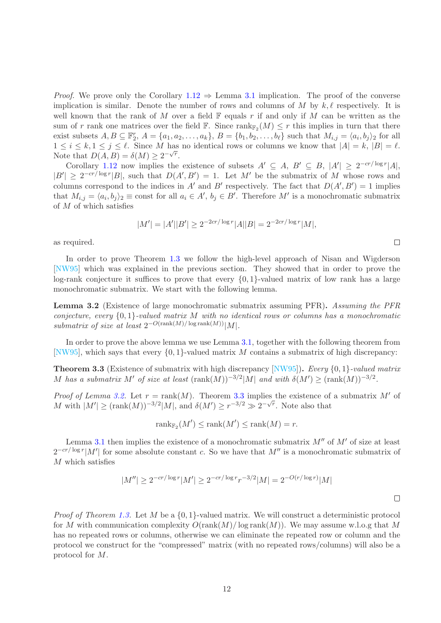*Proof.* We prove only the Corollary  $1.12 \Rightarrow$  $1.12 \Rightarrow$  Lemma [3.1](#page-11-1) implication. The proof of the converse implication is similar. Denote the number of rows and columns of M by  $k, \ell$  respectively. It is well known that the rank of M over a field  $\mathbb F$  equals r if and only if M can be written as the sum of r rank one matrices over the field  $\mathbb{F}$ . Since  $\text{rank}_{\mathbb{F}_2}(M) \leq r$  this implies in turn that there exist subsets  $A, B \subseteq \mathbb{F}_2^r$ ,  $A = \{a_1, a_2, \ldots, a_k\}$ ,  $B = \{b_1, b_2, \ldots, b_\ell\}$  such that  $M_{i,j} = \langle a_i, b_j \rangle_2$  for all  $1 \leq i \leq k, 1 \leq j \leq \ell$ . Since M has no identical rows or columns we know that  $|A| = k, |B| = \ell$ . Note that  $D(A, B) = \delta(M) \geq 2^{-\sqrt{r}}$ .

Corollary [1.12](#page-4-2) now implies the existence of subsets  $A' \subseteq A$ ,  $B' \subseteq B$ ,  $|A'| \geq 2^{-cr/\log r} |A|$ ,  $|B'| \geq 2^{-cr/\log r} |B|$ , such that  $D(A', B') = 1$ . Let M' be the submatrix of M whose rows and columns correspond to the indices in A' and B' respectively. The fact that  $D(A', B') = 1$  implies that  $M_{i,j} = \langle a_i, b_j \rangle_2 \equiv \text{const}$  for all  $a_i \in A'$ ,  $b_j \in B'$ . Therefore M' is a monochromatic submatrix of M of which satisfies

$$
|M'| = |A'||B'| \ge 2^{-2cr/\log r} |A||B| = 2^{-2cr/\log r} |M|,
$$

as required.

In order to prove Theorem [1.3](#page-2-0) we follow the high-level approach of Nisan and Wigderson [\[NW95\]](#page-16-6) which was explained in the previous section. They showed that in order to prove the log-rank conjecture it suffices to prove that every  $\{0, 1\}$ -valued matrix of low rank has a large monochromatic submatrix. We start with the following lemma.

<span id="page-12-0"></span>Lemma 3.2 (Existence of large monochromatic submatrix assuming PFR). Assuming the PF *conjecture, every* {0, 1}*-valued matrix* M *with no identical rows or columns has a monochromatic submatrix of size at least*  $2^{-O(\text{rank}(M)/\log \text{rank}(M))}|M|$ .

In order to prove the above lemma we use Lemma [3.1,](#page-11-1) together with the following theorem from [\[NW95\]](#page-16-6), which says that every  $\{0, 1\}$ -valued matrix M contains a submatrix of high discrepancy:

<span id="page-12-1"></span>Theorem 3.3 (Existence of submatrix with high discrepancy [\[NW95\]](#page-16-6)). *Every* {0, 1}*-valued matrix* M has a submatrix M' of size at least  $(\text{rank}(M))^{-3/2}|M|$  and with  $\delta(M') \geq (\text{rank}(M))^{-3/2}$ .

*Proof of Lemma [3.2.](#page-12-0)* Let  $r = \text{rank}(M)$ . Theorem [3.3](#page-12-1) implies the existence of a submatrix M' of M with  $|M'| \geq (\text{rank}(M))^{-3/2}|M|$ , and  $\delta(M') \geq r^{-3/2} \gg 2^{-\sqrt{r}}$ . Note also that

 $\operatorname{rank}_{\mathbb{F}_2}(M') \leq \operatorname{rank}(M') \leq \operatorname{rank}(M) = r.$ 

Lemma [3.1](#page-11-1) then implies the existence of a monochromatic submatrix  $M''$  of  $M'$  of size at least  $2^{-cr/\log r}|M'|$  for some absolute constant c. So we have that  $M''$  is a monochromatic submatrix of  ${\cal M}$  which satisfies

$$
|M''| \ge 2^{-cr/\log r} |M'| \ge 2^{-cr/\log r} r^{-3/2} |M| = 2^{-O(r/\log r)} |M|
$$

*Proof of Theorem [1.3.](#page-2-0)* Let M be a {0, 1}-valued matrix. We will construct a deterministic protocol for M with communication complexity  $O(\text{rank}(M)/\log \text{rank}(M))$ . We may assume w.l.o.g that M has no repeated rows or columns, otherwise we can eliminate the repeated row or column and the protocol we construct for the "compressed" matrix (with no repeated rows/columns) will also be a protocol for M.

| w | ٠      |  |
|---|--------|--|
|   | ı<br>ı |  |
| ٠ | .,     |  |
|   |        |  |

 $\Box$ 

 $\Box$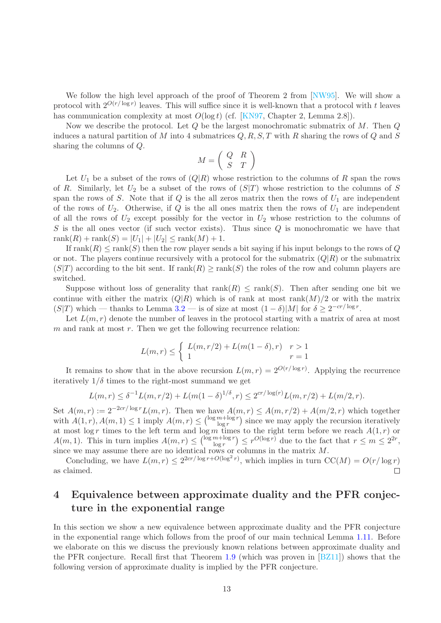We follow the high level approach of the proof of Theorem 2 from [\[NW95\]](#page-16-6). We will show a protocol with  $2^{O(r/\log r)}$  leaves. This will suffice since it is well-known that a protocol with t leaves has communication complexity at most  $O(\log t)$  (cf. [\[KN97,](#page-16-16) Chapter 2, Lemma 2.8]).

Now we describe the protocol. Let  $Q$  be the largest monochromatic submatrix of M. Then  $Q$ induces a natural partition of M into 4 submatrices  $Q, R, S, T$  with R sharing the rows of Q and S sharing the columns of Q.

$$
M = \left(\begin{array}{cc} Q & R \\ S & T \end{array}\right)
$$

Let  $U_1$  be a subset of the rows of  $(Q|R)$  whose restriction to the columns of R span the rows of R. Similarly, let  $U_2$  be a subset of the rows of  $(S|T)$  whose restriction to the columns of S span the rows of S. Note that if Q is the all zeros matrix then the rows of  $U_1$  are independent of the rows of  $U_2$ . Otherwise, if Q is the all ones matrix then the rows of  $U_1$  are independent of all the rows of  $U_2$  except possibly for the vector in  $U_2$  whose restriction to the columns of  $S$  is the all ones vector (if such vector exists). Thus since  $Q$  is monochromatic we have that  $rank(R) + rank(S) = |U_1| + |U_2| \leq rank(M) + 1.$ 

If  $rank(R) \leq rank(S)$  then the row player sends a bit saying if his input belongs to the rows of Q or not. The players continue recursively with a protocol for the submatrix  $(Q|R)$  or the submatrix  $(S|T)$  according to the bit sent. If  $rank(R) \geq rank(S)$  the roles of the row and column players are switched.

Suppose without loss of generality that  $rank(R) \leq rank(S)$ . Then after sending one bit we continue with either the matrix  $(Q|R)$  which is of rank at most rank $(M)/2$  or with the matrix  $(S|T)$  which — thanks to Lemma [3.2](#page-12-0) — is of size at most  $(1 - \delta)|M|$  for  $\delta \geq 2^{-cr/\log r}$ .

Let  $L(m, r)$  denote the number of leaves in the protocol starting with a matrix of area at most  $m$  and rank at most  $r$ . Then we get the following recurrence relation:

$$
L(m,r) \le \begin{cases} L(m,r/2) + L(m(1-\delta),r) & r > 1\\ 1 & r = 1 \end{cases}
$$

It remains to show that in the above recursion  $L(m,r) = 2^{O(r/\log r)}$ . Applying the recurrence iteratively  $1/\delta$  times to the right-most summand we get

$$
L(m,r) \leq \delta^{-1}L(m,r/2) + L(m(1-\delta)^{1/\delta}, r) \leq 2^{cr/\log(r)}L(m,r/2) + L(m/2,r).
$$

Set  $A(m,r) := 2^{-2cr/\log r} L(m,r)$ . Then we have  $A(m,r) \leq A(m,r/2) + A(m/2,r)$  which together with  $A(1,r), A(m, 1) \leq 1$  imply  $A(m,r) \leq {\log m + \log r \choose \log r}$  $\frac{m + \log r}{\log r}$  since we may apply the recursion iteratively at most log r times to the left term and log m times to the right term before we reach  $A(1,r)$  or  $A(m, 1)$ . This in turn implies  $A(m, r) \leq {\log m + \log r \choose \log r}$  $\binom{m + \log r}{\log r} \leq r^{O(\log r)}$  due to the fact that  $r \leq m \leq 2^{2r}$ , since we may assume there are no identical rows or columns in the matrix M.

Concluding, we have  $L(m,r) \leq 2^{2cr/\log r + O(\log^2 r)}$ , which implies in turn  $CC(M) = O(r/\log r)$ as claimed.  $\Box$ 

# <span id="page-13-0"></span>4 Equivalence between approximate duality and the PFR conjecture in the exponential range

In this section we show a new equivalence between approximate duality and the PFR conjecture in the exponential range which follows from the proof of our main technical Lemma [1.11.](#page-4-0) Before we elaborate on this we discuss the previously known relations between approximate duality and the PFR conjecture. Recall first that Theorem [1.9](#page-4-1) (which was proven in [\[BZ11\]](#page-15-0)) shows that the following version of approximate duality is implied by the PFR conjecture.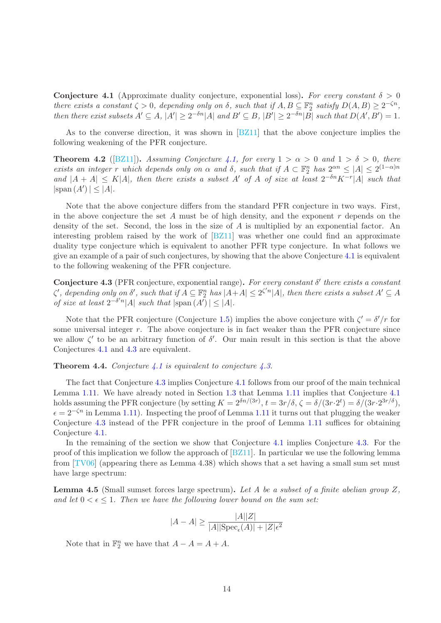<span id="page-14-0"></span>Conjecture 4.1 (Approximate duality conjecture, exponential loss). For every constant  $\delta > 0$ *there exists a constant*  $\zeta > 0$ *, depending only on*  $\delta$ *, such that if*  $A, B \subseteq \mathbb{F}_2^n$  *satisfy*  $D(A, B) \geq 2^{-\zeta n}$ *, then there exist subsets*  $A' \subseteq A$ ,  $|A'| \geq 2^{-\delta n} |A|$  *and*  $B' \subseteq B$ ,  $|B'| \geq 2^{-\delta n} |B|$  *such that*  $D(A', B') = 1$ *.* 

As to the converse direction, it was shown in [\[BZ11\]](#page-15-0) that the above conjecture implies the following weakening of the PFR conjecture.

**Theorem 4.2** ([\[BZ11\]](#page-15-0)). *Assuming Conjecture [4.1,](#page-14-0) for every*  $1 > \alpha > 0$  *and*  $1 > \delta > 0$ *, there exists an integer r which depends only on*  $\alpha$  *and*  $\delta$ *, such that if*  $A \subset \mathbb{F}_2^n$  *has*  $2^{\alpha n} \leq |A| \leq 2^{(1-\alpha)n}$ and  $|A + A| \leq K|A|$ , then there exists a subset A' of A of size at least  $2^{-\delta n} K^{-r} |A|$  such that  $|\text{span}(A')| \leq |A|.$ 

Note that the above conjecture differs from the standard PFR conjecture in two ways. First, in the above conjecture the set A must be of high density, and the exponent  $r$  depends on the density of the set. Second, the loss in the size of A is multiplied by an exponential factor. An interesting problem raised by the work of [\[BZ11\]](#page-15-0) was whether one could find an approximate duality type conjecture which is equivalent to another PFR type conjecture. In what follows we give an example of a pair of such conjectures, by showing that the above Conjecture [4.1](#page-14-0) is equivalent to the following weakening of the PFR conjecture.

<span id="page-14-1"></span>Conjecture 4.3 (PFR conjecture, exponential range). *For every constant* δ ′ *there exists a constant*  $\zeta'$ , depending only on  $\delta'$ , such that if  $A \subseteq \mathbb{F}_2^n$  has  $|A + A| \leq 2^{\zeta' n} |A|$ , then there exists a subset  $A' \subseteq A$ *of size at least*  $2^{-\delta' n} |A|$  *such that*  $|\text{span}(A')| \leq |A|$ *.* 

Note that the PFR conjecture (Conjecture [1.5\)](#page-3-0) implies the above conjecture with  $\zeta' = \delta'/r$  for some universal integer  $r$ . The above conjecture is in fact weaker than the PFR conjecture since we allow  $\zeta'$  to be an arbitrary function of  $\delta'$ . Our main result in this section is that the above Conjectures [4.1](#page-14-0) and [4.3](#page-14-1) are equivalent.

#### Theorem 4.4. *Conjecture [4.1](#page-14-0) is equivalent to conjecture [4.3.](#page-14-1)*

The fact that Conjecture [4.3](#page-14-1) implies Conjecture [4.1](#page-14-0) follows from our proof of the main technical Lemma [1.11.](#page-4-0) We have already noted in Section [1.3](#page-3-3) that Lemma [1.11](#page-4-0) implies that Conjecture [4.1](#page-14-0) holds assuming the PFR conjecture (by setting  $K = 2^{\delta n/(3r)}$ ,  $t = 3r/\delta$ ,  $\zeta = \delta/(3r \cdot 2^t) = \delta/(3r \cdot 2^{3r/\delta})$ ,  $\epsilon = 2^{-\zeta n}$  in Lemma [1.11\)](#page-4-0). Inspecting the proof of Lemma [1.11](#page-4-0) it turns out that plugging the weaker Conjecture [4.3](#page-14-1) instead of the PFR conjecture in the proof of Lemma [1.11](#page-4-0) suffices for obtaining Conjecture [4.1.](#page-14-0)

In the remaining of the section we show that Conjecture [4.1](#page-14-0) implies Conjecture [4.3.](#page-14-1) For the proof of this implication we follow the approach of  $[2211]$ . In particular we use the following lemma from  $[TV06]$  (appearing there as Lemma 4.38) which shows that a set having a small sum set must have large spectrum:

<span id="page-14-2"></span>Lemma 4.5 (Small sumset forces large spectrum). *Let A be a subset of a finite abelian group* Z*,* and let  $0 < \epsilon < 1$ . Then we have the following lower bound on the sum set:

$$
|A - A| \ge \frac{|A||Z|}{|A||\text{Spec}_{\epsilon}(A)| + |Z|\epsilon^2}
$$

Note that in  $\mathbb{F}_2^n$  we have that  $A - A = A + A$ .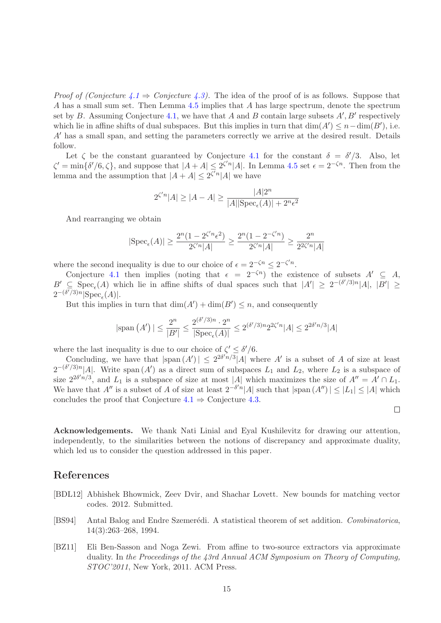*Proof of (Conjecture*  $\lambda \neq 1$ *) Conjecture*  $\lambda \neq 0$ . The idea of the proof of is as follows. Suppose that A has a small sum set. Then Lemma [4.5](#page-14-2) implies that A has large spectrum, denote the spectrum set by B. Assuming Conjecture [4.1,](#page-14-0) we have that A and B contain large subsets  $A', B'$  respectively which lie in affine shifts of dual subspaces. But this implies in turn that  $\dim(A') \leq n - \dim(B')$ , i.e. A′ has a small span, and setting the parameters correctly we arrive at the desired result. Details follow.

Let  $\zeta$  be the constant guaranteed by Conjecture [4.1](#page-14-0) for the constant  $\delta = \delta'/3$ . Also, let  $\zeta' = \min\{\delta'/6, \zeta\}$ , and suppose that  $|A + A| \leq 2^{\zeta' n} |A|$ . In Lemma [4.5](#page-14-2) set  $\epsilon = 2^{-\zeta n}$ . Then from the lemma and the assumption that  $|A + A| \leq 2^{\zeta' n} |A|$  we have

$$
2^{\zeta' n} |A| \ge |A - A| \ge \frac{|A| 2^n}{|A| |\text{Spec}_{\epsilon}(A)| + 2^n \epsilon^2}
$$

And rearranging we obtain

$$
|\text{Spec}_{\epsilon}(A)| \geq \frac{2^n(1-2^{\zeta'n}\epsilon^2)}{2^{\zeta'n}|A|} \geq \frac{2^n(1-2^{-\zeta'n})}{2^{\zeta'n}|A|} \geq \frac{2^n}{2^{2\zeta'n}|A|}
$$

where the second inequality is due to our choice of  $\epsilon = 2^{-\zeta n} \leq 2^{-\zeta' n}$ .

Conjecture [4.1](#page-14-0) then implies (noting that  $\epsilon = 2^{-\zeta n}$ ) the existence of subsets  $A' \subseteq A$ ,  $B' \subseteq \text{Spec}_{\epsilon}(A)$  which lie in affine shifts of dual spaces such that  $|A'| \geq 2^{-(\delta'/3)n} |A|, |B'| \geq$  $2^{-(\delta'/3)n}$ |Spec<sub> $\epsilon$ </sub>(A)|.

But this implies in turn that  $\dim(A') + \dim(B') \leq n$ , and consequently

$$
|\text{span}(A')| \le \frac{2^n}{|B'|} \le \frac{2^{(\delta'/3)n} \cdot 2^n}{|\text{Spec}_{\epsilon}(A)|} \le 2^{(\delta'/3)n} 2^{2\zeta'n} |A| \le 2^{2\delta'n/3} |A|
$$

where the last inequality is due to our choice of  $\zeta' \leq \delta'/6$ .

Concluding, we have that  $|\text{span}(A')| \leq 2^{2\delta' n/3} |A|$  where A' is a subset of A of size at least  $2^{-(\delta'/3)n}$ |A|. Write span  $(A')$  as a direct sum of subspaces  $L_1$  and  $L_2$ , where  $L_2$  is a subspace of size  $2^{2\delta'n/3}$ , and  $L_1$  is a subspace of size at most |A| which maximizes the size of  $A'' = A' \cap L_1$ . We have that  $A''$  is a subset of A of size at least  $2^{-\delta'n}|A|$  such that  $|\text{span}(A'')| \leq |L_1| \leq |A|$  which concludes the proof that Conjecture  $4.1 \Rightarrow$  $4.1 \Rightarrow$  Conjecture [4.3.](#page-14-1)

 $\Box$ 

Acknowledgements. We thank Nati Linial and Eyal Kushilevitz for drawing our attention, independently, to the similarities between the notions of discrepancy and approximate duality, which led us to consider the question addressed in this paper.

### References

- <span id="page-15-1"></span>[BDL12] Abhishek Bhowmick, Zeev Dvir, and Shachar Lovett. New bounds for matching vector codes. 2012. Submitted.
- <span id="page-15-2"></span>[BS94] Antal Balog and Endre Szemerédi. A statistical theorem of set addition. *Combinatorica*, 14(3):263–268, 1994.
- <span id="page-15-0"></span>[BZ11] Eli Ben-Sasson and Noga Zewi. From affine to two-source extractors via approximate duality. In *the Proceedings of the 43rd Annual ACM Symposium on Theory of Computing, STOC'2011*, New York, 2011. ACM Press.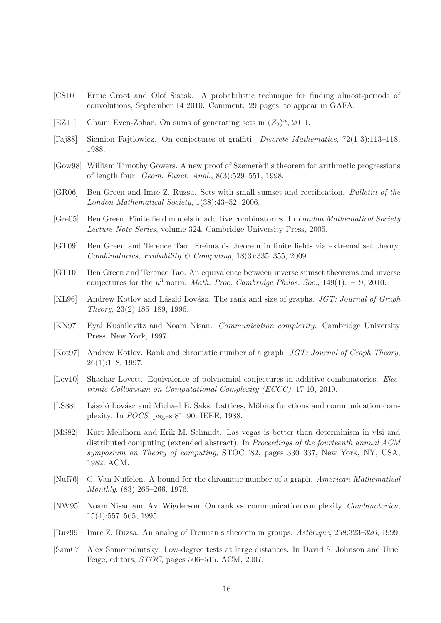- <span id="page-16-12"></span>[CS10] Ernie Croot and Olof Sisask. A probabilistic technique for finding almost-periods of convolutions, September 14 2010. Comment: 29 pages, to appear in GAFA.
- <span id="page-16-10"></span>[EZ11] Chaim Even-Zohar. On sums of generating sets in  $(Z_2)^n$ , 2011.
- <span id="page-16-3"></span>[Faj88] Siemion Fajtlowicz. On conjectures of graffiti. *Discrete Mathematics*, 72(1-3):113–118, 1988.
- <span id="page-16-17"></span>[Gow98] William Timothy Gowers. A new proof of Szemerèdi's theorem for arithmetic progressions of length four. *Geom. Funct. Anal.*, 8(3):529–551, 1998.
- <span id="page-16-8"></span>[GR06] Ben Green and Imre Z. Ruzsa. Sets with small sumset and rectification. *Bulletin of the London Mathematical Society*, 1(38):43–52, 2006.
- <span id="page-16-11"></span>[Gre05] Ben Green. Finite field models in additive combinatorics. In *London Mathematical Society Lecture Note Series*, volume 324. Cambridge University Press, 2005.
- <span id="page-16-9"></span>[GT09] Ben Green and Terence Tao. Freiman's theorem in finite fields via extremal set theory. *Combinatorics, Probability & Computing*, 18(3):335–355, 2009.
- <span id="page-16-15"></span>[GT10] Ben Green and Terence Tao. An equivalence between inverse sumset theorems and inverse conjectures for the u <sup>3</sup> norm. *Math. Proc. Cambridge Philos. Soc.*, 149(1):1–19, 2010.
- <span id="page-16-5"></span>[KL96] Andrew Kotlov and László Lovász. The rank and size of graphs. *JGT: Journal of Graph Theory*, 23(2):185–189, 1996.
- <span id="page-16-16"></span>[KN97] Eyal Kushilevitz and Noam Nisan. *Communication complexity*. Cambridge University Press, New York, 1997.
- <span id="page-16-4"></span>[Kot97] Andrew Kotlov. Rank and chromatic number of a graph. *JGT: Journal of Graph Theory*, 26(1):1–8, 1997.
- <span id="page-16-14"></span>[Lov10] Shachar Lovett. Equivalence of polynomial conjectures in additive combinatorics. *Electronic Colloquium on Computational Complexity (ECCC)*, 17:10, 2010.
- <span id="page-16-1"></span>[LS88] László Lovász and Michael E. Saks. Lattices, Möbius functions and communication complexity. In *FOCS*, pages 81–90. IEEE, 1988.
- <span id="page-16-0"></span>[MS82] Kurt Mehlhorn and Erik M. Schmidt. Las vegas is better than determinism in vlsi and distributed computing (extended abstract). In *Proceedings of the fourteenth annual ACM symposium on Theory of computing*, STOC '82, pages 330–337, New York, NY, USA, 1982. ACM.
- <span id="page-16-2"></span>[Nuf76] C. Van Nuffelen. A bound for the chromatic number of a graph. *American Mathematical Monthly*, (83):265–266, 1976.
- <span id="page-16-6"></span>[NW95] Noam Nisan and Avi Wigderson. On rank vs. communication complexity. *Combinatorica*, 15(4):557–565, 1995.
- <span id="page-16-7"></span>[Ruz99] Imre Z. Ruzsa. An analog of Freiman's theorem in groups. *Asterique*, 258:323–326, 1999.
- <span id="page-16-13"></span>[Sam07] Alex Samorodnitsky. Low-degree tests at large distances. In David S. Johnson and Uriel Feige, editors, *STOC*, pages 506–515. ACM, 2007.